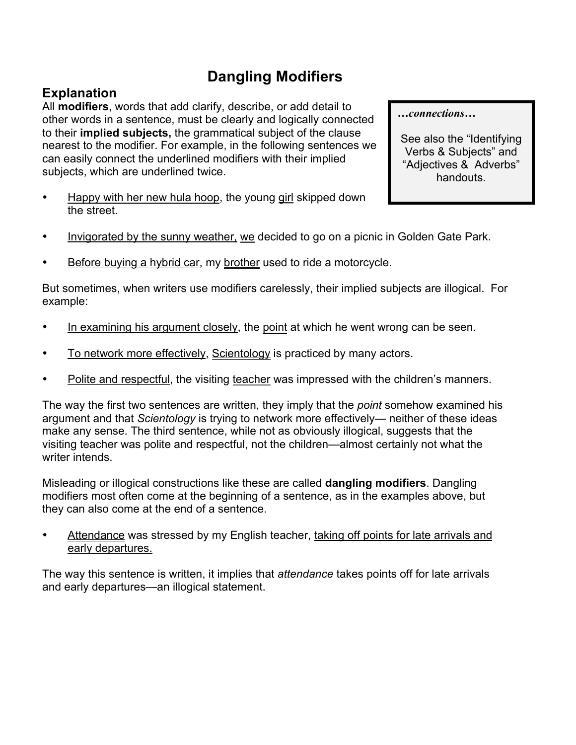## **Dangling Modifiers**

## **Explanation**

All **modifiers**, words that add clarify, describe, or add detail to other words in a sentence, must be clearly and logically connected to their **implied subjects,** the grammatical subject of the clause nearest to the modifier. For example, in the following sentences we can easily connect the underlined modifiers with their implied subjects, which are underlined twice.

- Happy with her new hula hoop, the young girl skipped down the street.
- Invigorated by the sunny weather, we decided to go on a picnic in Golden Gate Park.
- Before buying a hybrid car, my brother used to ride a motorcycle.

But sometimes, when writers use modifiers carelessly, their implied subjects are illogical. For example:

- In examining his argument closely, the point at which he went wrong can be seen.
- To network more effectively, Scientology is practiced by many actors.
- Polite and respectful, the visiting teacher was impressed with the children's manners.

The way the first two sentences are written, they imply that the *point* somehow examined his argument and that *Scientology* is trying to network more effectively— neither of these ideas make any sense. The third sentence, while not as obviously illogical, suggests that the visiting teacher was polite and respectful, not the children—almost certainly not what the writer intends.

Misleading or illogical constructions like these are called **dangling modifiers**. Dangling modifiers most often come at the beginning of a sentence, as in the examples above, but they can also come at the end of a sentence.

Attendance was stressed by my English teacher, taking off points for late arrivals and early departures.

The way this sentence is written, it implies that *attendance* takes points off for late arrivals and early departures—an illogical statement.

*…connections…*

See also the "Identifying Verbs & Subjects" and "Adjectives & Adverbs" handouts.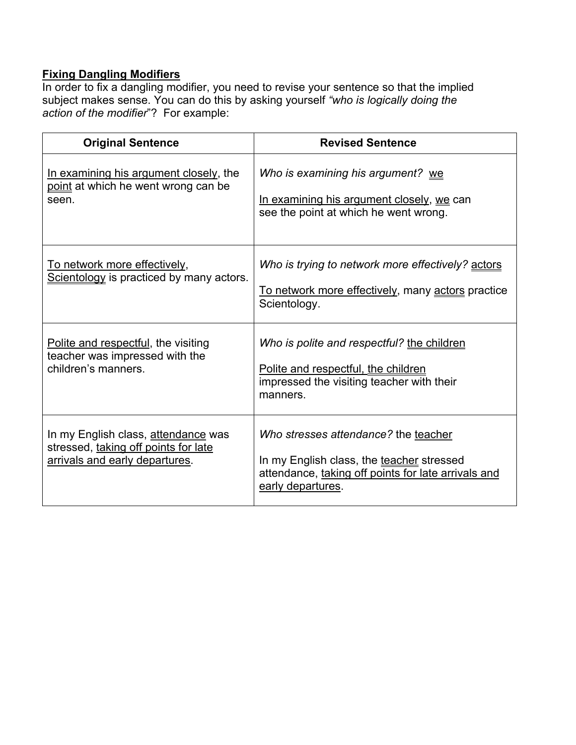## **Fixing Dangling Modifiers**

In order to fix a dangling modifier, you need to revise your sentence so that the implied subject makes sense. You can do this by asking yourself *"who is logically doing the action of the modifier*"? For example:

| <b>Original Sentence</b>                                                                                      | <b>Revised Sentence</b>                                                                                                                                       |
|---------------------------------------------------------------------------------------------------------------|---------------------------------------------------------------------------------------------------------------------------------------------------------------|
| In examining his argument closely, the<br>point at which he went wrong can be<br>seen.                        | Who is examining his argument? we<br>In examining his argument closely, we can<br>see the point at which he went wrong.                                       |
| <u>To network more effectively,</u><br>Scientology is practiced by many actors.                               | Who is trying to network more effectively? actors<br><u>To network more effectively</u> , many actors practice<br>Scientology.                                |
| Polite and respectful, the visiting<br>teacher was impressed with the<br>children's manners.                  | Who is polite and respectful? the children<br>Polite and respectful, the children<br>impressed the visiting teacher with their<br>manners.                    |
| In my English class, attendance was<br>stressed, taking off points for late<br>arrivals and early departures. | Who stresses attendance? the teacher<br>In my English class, the teacher stressed<br>attendance, taking off points for late arrivals and<br>early departures. |